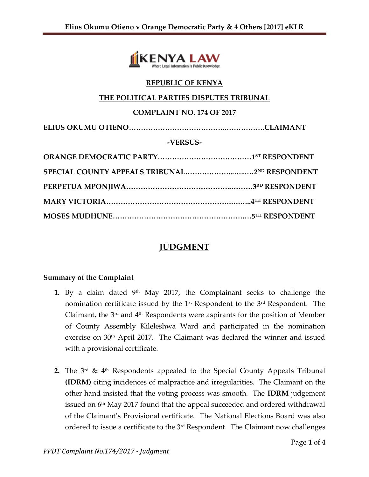

### **REPUBLIC OF KENYA**

### **THE POLITICAL PARTIES DISPUTES TRIBUNAL**

#### **COMPLAINT NO. 174 OF 2017**

**ELIUS OKUMU OTIENO…………………………………..…………….CLAIMANT**

#### **-VERSUS-**

# **JUDGMENT**

### **Summary of the Complaint**

- 1. By a claim dated 9<sup>th</sup> May 2017, the Complainant seeks to challenge the nomination certificate issued by the  $1<sup>st</sup>$  Respondent to the  $3<sup>rd</sup>$  Respondent. The Claimant, the 3rd and 4th Respondents were aspirants for the position of Member of County Assembly Kileleshwa Ward and participated in the nomination exercise on 30<sup>th</sup> April 2017. The Claimant was declared the winner and issued with a provisional certificate.
- **2.** The  $3^{rd}$  &  $4^{th}$  Respondents appealed to the Special County Appeals Tribunal **(IDRM)** citing incidences of malpractice and irregularities. The Claimant on the other hand insisted that the voting process was smooth. The **IDRM** judgement issued on 6th May 2017 found that the appeal succeeded and ordered withdrawal of the Claimant's Provisional certificate. The National Elections Board was also ordered to issue a certificate to the 3rd Respondent. The Claimant now challenges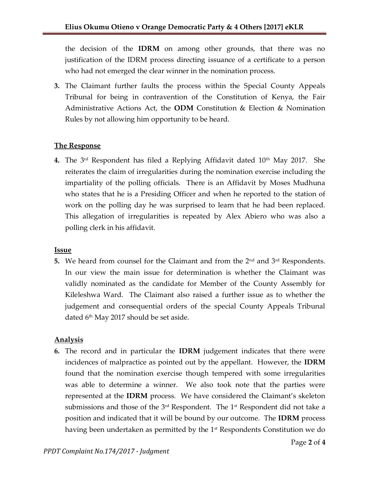the decision of the **IDRM** on among other grounds, that there was no justification of the IDRM process directing issuance of a certificate to a person who had not emerged the clear winner in the nomination process.

**3.** The Claimant further faults the process within the Special County Appeals Tribunal for being in contravention of the Constitution of Kenya, the Fair Administrative Actions Act, the **ODM** Constitution & Election & Nomination Rules by not allowing him opportunity to be heard.

## **The Response**

**4.** The 3<sup>rd</sup> Respondent has filed a Replying Affidavit dated 10<sup>th</sup> May 2017. She reiterates the claim of irregularities during the nomination exercise including the impartiality of the polling officials. There is an Affidavit by Moses Mudhuna who states that he is a Presiding Officer and when he reported to the station of work on the polling day he was surprised to learn that he had been replaced. This allegation of irregularities is repeated by Alex Abiero who was also a polling clerk in his affidavit.

### **Issue**

**5.** We heard from counsel for the Claimant and from the 2<sup>nd</sup> and 3<sup>rd</sup> Respondents. In our view the main issue for determination is whether the Claimant was validly nominated as the candidate for Member of the County Assembly for Kileleshwa Ward. The Claimant also raised a further issue as to whether the judgement and consequential orders of the special County Appeals Tribunal dated  $6<sup>th</sup>$  May 2017 should be set aside.

## **Analysis**

**6.** The record and in particular the **IDRM** judgement indicates that there were incidences of malpractice as pointed out by the appellant. However, the **IDRM** found that the nomination exercise though tempered with some irregularities was able to determine a winner. We also took note that the parties were represented at the **IDRM** process. We have considered the Claimant's skeleton submissions and those of the  $3<sup>rd</sup>$  Respondent. The  $1<sup>st</sup>$  Respondent did not take a position and indicated that it will be bound by our outcome. The **IDRM** process having been undertaken as permitted by the 1<sup>st</sup> Respondents Constitution we do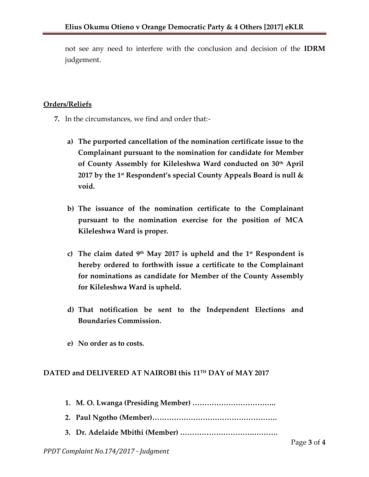not see any need to interfere with the conclusion and decision of the **IDRM** judgement.

### **Orders/Reliefs**

- **7.** In the circumstances, we find and order that:
	- **a) The purported cancellation of the nomination certificate issue to the Complainant pursuant to the nomination for candidate for Member of County Assembly for Kileleshwa Ward conducted on 30th April 2017 by the 1st Respondent's special County Appeals Board is null & void.**
	- **b) The issuance of the nomination certificate to the Complainant pursuant to the nomination exercise for the position of MCA Kileleshwa Ward is proper.**
	- **c) The claim dated 9th May 2017 is upheld and the 1st Respondent is hereby ordered to forthwith issue a certificate to the Complainant for nominations as candidate for Member of the County Assembly for Kileleshwa Ward is upheld.**
	- **d) That notification be sent to the Independent Elections and Boundaries Commission.**
	- **e) No order as to costs.**

### **DATED and DELIVERED AT NAIROBI this 11TH DAY of MAY 2017**